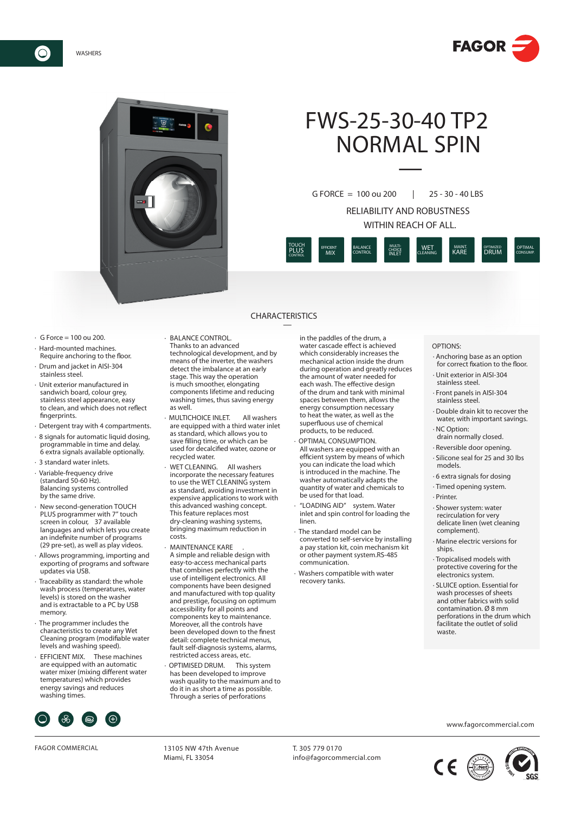



# FWS-25-30-40 TP2 NORMAL SPIN —

RELIABILITY AND ROBUSTNESS WITHIN REACH OF ALL. G FORCE = 100 ou 200 | 25 - 30 - 40 LBS



### CHARACTERISTICS —

- $\cdot$  G Force = 100 ou 200.
- · Hard-mounted machines. Require anchoring to the floor.
- · Drum and jacket in AISI-304 stainless steel.
- · Unit exterior manufactured in sandwich board, colour grey, stainless steel appearance, easy to clean, and which does not reflect fingerprints.
- · Detergent tray with 4 compartments.
- · 8 signals for automatic liquid dosing, programmable in time and delay. 6 extra signals available optionally.
- · 3 standard water inlets.
- · Variable-frequency drive (standard 50-60 Hz). Balancing systems controlled by the same drive.
- New second-generation TOUCH PLUS programmer with 7" touch screen in colour, 37 available languages and which lets you create an indefinite number of programs (29 pre-set), as well as play videos.
- · Allows programming, importing and exporting of programs and software updates via USB.
- · Traceability as standard: the whole wash process (temperatures, water levels) is stored on the washer and is extractable to a PC by USB memory.
- The programmer includes the characteristics to create any Wet Cleaning program (modifiable water levels and washing speed).
- · EFFICIENT MIX. These machines are equipped with an automatic water mixer (mixing different water temperatures) which provides energy savings and reduces washing times.



FAGOR COMMERCIAL 13105 NW 47th Avenue

- · BALANCE CONTROL. Thanks to an advanced technological development, and by means of the inverter, the washers detect the imbalance at an early stage. This way the operation is much smoother, elongating components lifetime and reducing
- washing times, thus saving energy as well. · MULTICHOICE INLET. All washers are equipped with a third water inlet as standard, which allows you to save filling time, or which can be used for decalcified water, ozone or recycled water.
- WFT CLEANING. All washers incorporate the necessary features to use the WET CLEANING system as standard, avoiding investment in expensive applications to work with this advanced washing concept. This feature replaces most dry-cleaning washing systems, bringing maximum reduction in costs.
- MAINTENANCE KARE A simple and reliable design with easy-to-access mechanical parts that combines perfectly with the use of intelligent electronics. All components have been designed and manufactured with top quality and prestige, focusing on optimum accessibility for all points and components key to maintenance. Moreover, all the controls have been developed down to the finest detail: complete technical menus, fault self-diagnosis systems, alarms, restricted access areas, etc.
- OPTIMISED DRUM. This system has been developed to improve wash quality to the maximum and to do it in as short a time as possible. Through a series of perforations

in the paddles of the drum, a water cascade effect is achieved which considerably increases the mechanical action inside the drum during operation and greatly reduces the amount of water needed for each wash. The effective design of the drum and tank with minimal spaces between them, allows the energy consumption necessary to heat the water, as well as the superfluous use of chemical products, to be reduced.

- OPTIMAL CONSUMPTION. All washers are equipped with an efficient system by means of which you can indicate the load which is introduced in the machine. The washer automatically adapts the quantity of water and chemicals to be used for that load.
- · "LOADING AID" system. Water inlet and spin control for loading the linen. · The standard model can be
- converted to self-service by installing a pay station kit, coin mechanism kit or other payment system.RS-485 communication.
- · Washers compatible with water recovery tanks.

#### OPTIONS:

- · Anchoring base as an option for correct fixation to the floor.
- · Unit exterior in AISI-304 stainless steel.
- · Front panels in AISI-304 stainless steel.
- · Double drain kit to recover the water, with important savings. · NC Option:
- drain normally closed.
- · Reversible door opening.
- · Silicone seal for 25 and 30 lbs models.
- · 6 extra signals for dosing
- · Timed opening system.
- · Printer.
- · Shower system: water recirculation for very delicate linen (wet cleaning complement).
- · Marine electric versions for ships.
- · Tropicalised models with protective covering for the electronics system.
- · SLUICE option. Essential for wash processes of sheets and other fabrics with solid contamination. Ø 8 mm perforations in the drum which facilitate the outlet of solid waste.

www.fagorcommercial.com



Miami, FL 33054

T. 305 779 0170 info@fagorcommercial.com